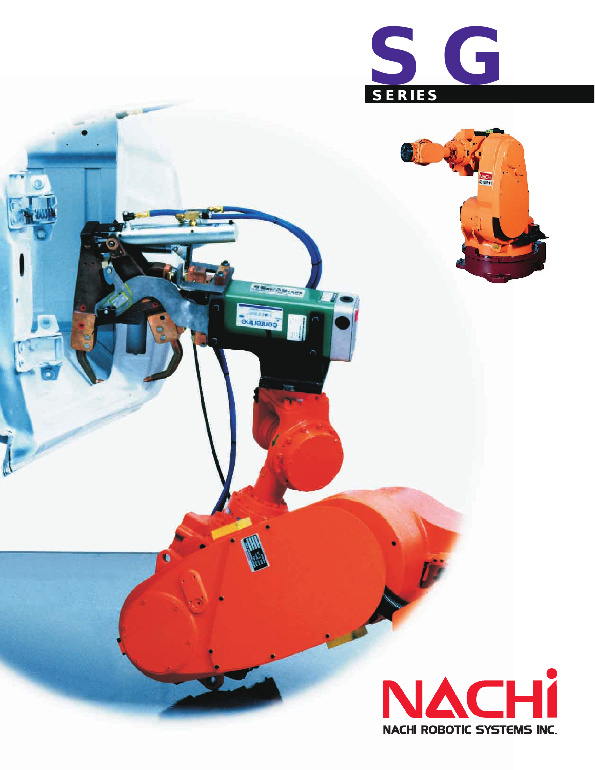

**STEPHANICS** 

**OUINDUOS** 

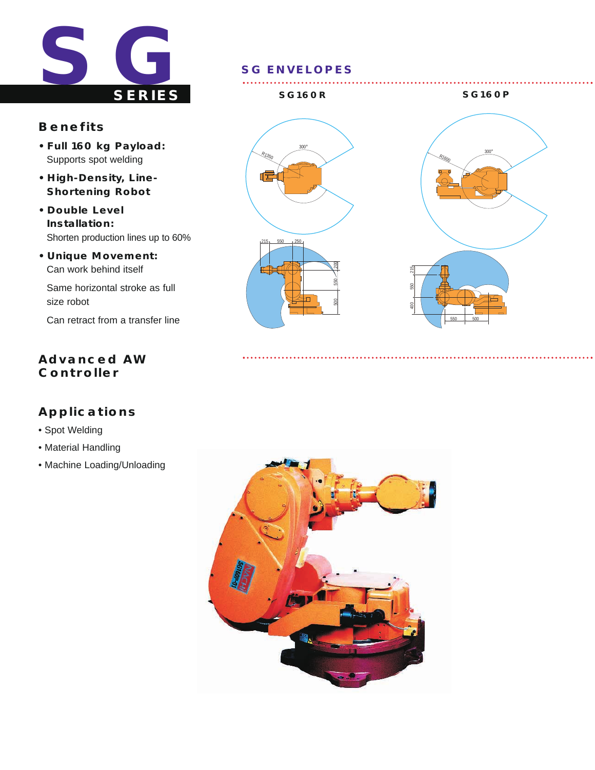

## **Benefits**

- **Full 160 kg Payload:** Supports spot welding
- **High-Density, Line-Shortening Robot**
- **Double Level Installation:** Shorten production lines up to 60%
- **Unique Movement:** Can work behind itself

Same horizontal stroke as full size robot

Can retract from a transfer line

# **Advanced AW Controller**

# **Applications**

- Spot Welding
- Material Handling
- Machine Loading/Unloading



### **SG160R SG160P**





. . . . . . . . . . . . . . . .

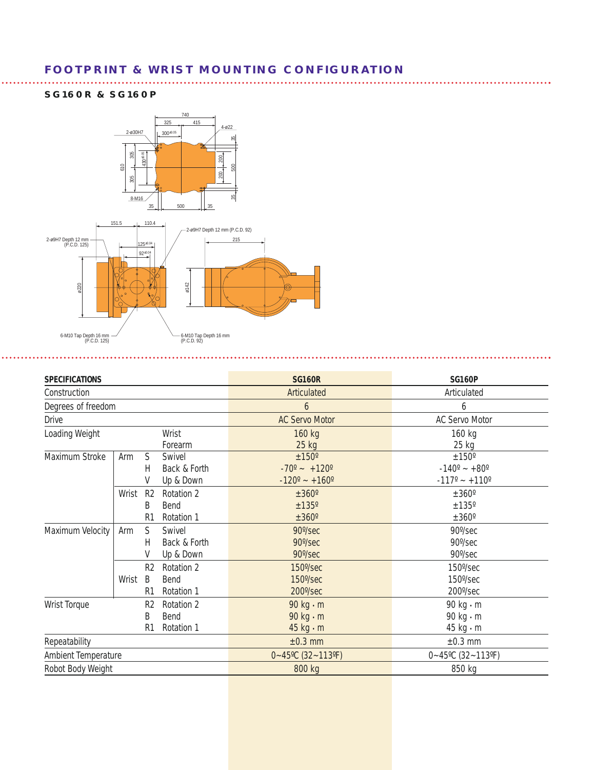## **FOOTPRINT & WRIST MOUNTING CONFIGURATION**

#### **SG160R & SG160P**



| <b>SPECIFICATIONS</b>                                 |       |                                       |                                     | <b>SG160R</b>                                                     | <b>SG160P</b>                                                               |
|-------------------------------------------------------|-------|---------------------------------------|-------------------------------------|-------------------------------------------------------------------|-----------------------------------------------------------------------------|
| Construction                                          |       |                                       |                                     | Articulated                                                       | Articulated                                                                 |
| Degrees of freedom                                    |       |                                       |                                     | 6                                                                 | 6                                                                           |
| <b>Drive</b>                                          |       |                                       |                                     | <b>AC Servo Motor</b>                                             | <b>AC Servo Motor</b>                                                       |
| Loading Weight<br>Wrist<br>Forearm                    |       |                                       |                                     | 160 kg<br>25 kg                                                   | 160 kg<br>25 kg                                                             |
| Maximum Stroke                                        | Arm   | S<br>Н<br>۷                           | Swivel<br>Back & Forth<br>Up & Down | ±150°<br>$-70^{\circ}$ ~ $+120^{\circ}$<br>$-120^{\circ}$ ~ +160° | ±150°<br>$-140^{\circ}$ ~ +80 $^{\circ}$<br>$-117^{\circ}$ ~ $+110^{\circ}$ |
|                                                       | Wrist | R <sub>2</sub><br>B<br>R <sub>1</sub> | Rotation 2<br>Bend<br>Rotation 1    | ±360°<br>±135°<br>±360°                                           | $\pm 360^\circ$<br>±135°<br>$\pm 360^\circ$                                 |
| Maximum Velocity                                      | Arm   | S<br>Н<br>۷                           | Swivel<br>Back & Forth<br>Up & Down | 90°/sec<br>90°/sec<br>90°/sec                                     | 90°/sec<br>90°/sec<br>90°/sec                                               |
|                                                       | Wrist | R <sub>2</sub><br>B<br>R1             | Rotation 2<br>Bend<br>Rotation 1    | $150\%$ sec<br>150°/sec<br>$200\%$ sec                            | 150°/sec<br>$150\%$ sec<br>200°/sec                                         |
| Wrist Torque<br>R <sub>2</sub><br>B<br>R <sub>1</sub> |       |                                       | Rotation 2<br>Bend<br>Rotation 1    | 90 $kg \cdot m$<br>90 $kg \cdot m$<br>$45$ kg $\cdot$ m           | 90 kg · m<br>90 kg · m<br>45 kg · m                                         |
| Repeatability                                         |       |                                       |                                     | $\pm 0.3$ mm                                                      | $\pm 0.3$ mm                                                                |
| Ambient Temperature                                   |       |                                       |                                     | $0 - 45$ °C (32~113°F)                                            | $0 - 45$ °C (32~113°F)                                                      |
| Robot Body Weight                                     |       |                                       |                                     | 800 kg                                                            | 850 kg                                                                      |